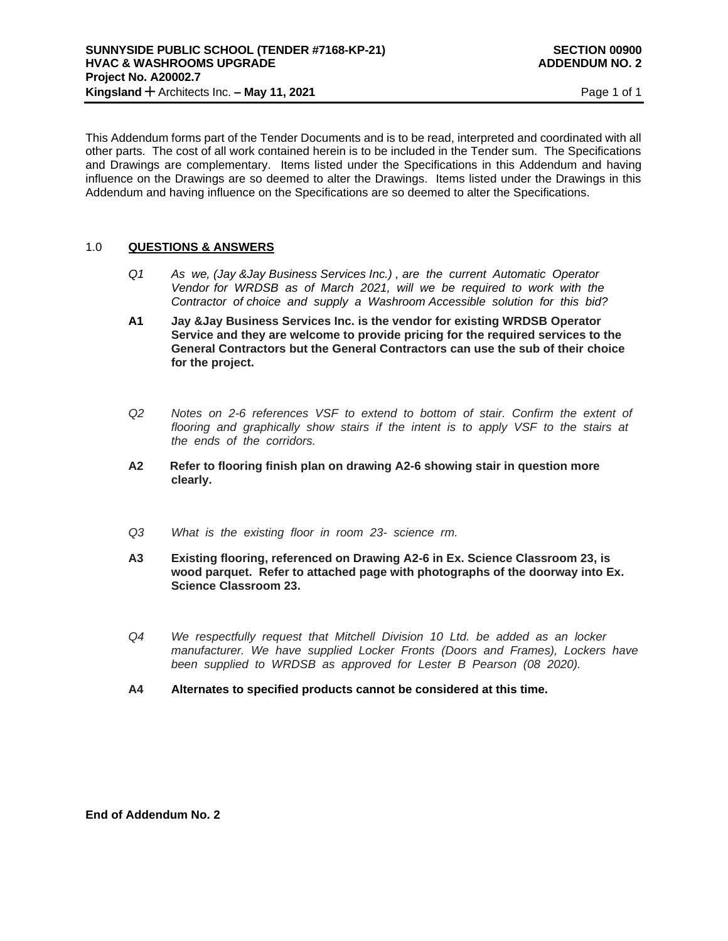This Addendum forms part of the Tender Documents and is to be read, interpreted and coordinated with all other parts. The cost of all work contained herein is to be included in the Tender sum. The Specifications and Drawings are complementary. Items listed under the Specifications in this Addendum and having influence on the Drawings are so deemed to alter the Drawings. Items listed under the Drawings in this Addendum and having influence on the Specifications are so deemed to alter the Specifications.

## 1.0 **QUESTIONS & ANSWERS**

- *Q1 As we, (Jay &Jay Business Services Inc.) , are the current Automatic Operator Vendor for WRDSB as of March 2021, will we be required to work with the Contractor of choice and supply a Washroom Accessible solution for this bid?*
- **A1 Jay &Jay Business Services Inc. is the vendor for existing WRDSB Operator Service and they are welcome to provide pricing for the required services to the General Contractors but the General Contractors can use the sub of their choice for the project.**
- *Q2 Notes on 2-6 references VSF to extend to bottom of stair. Confirm the extent of flooring and graphically show stairs if the intent is to apply VSF to the stairs at the ends of the corridors.*
- **A2 Refer to flooring finish plan on drawing A2-6 showing stair in question more clearly.**
- *Q3 What is the existing floor in room 23- science rm.*
- **A3 Existing flooring, referenced on Drawing A2-6 in Ex. Science Classroom 23, is wood parquet. Refer to attached page with photographs of the doorway into Ex. Science Classroom 23.**
- *Q4 We respectfully request that Mitchell Division 10 Ltd. be added as an locker manufacturer. We have supplied Locker Fronts (Doors and Frames), Lockers have been supplied to WRDSB as approved for Lester B Pearson (08 2020).*
- **A4 Alternates to specified products cannot be considered at this time.**

**End of Addendum No. 2**